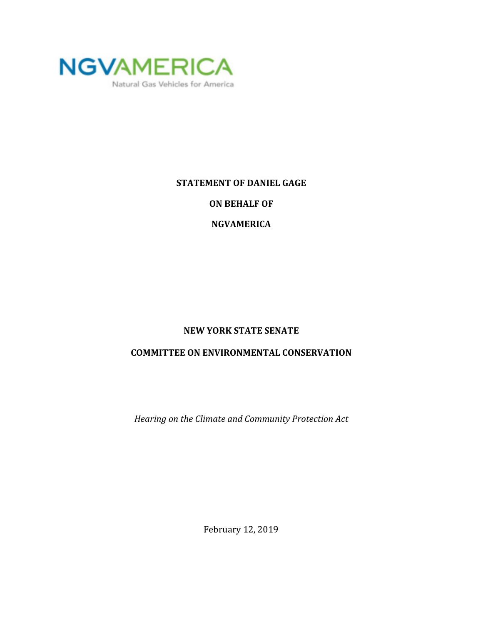

## **STATEMENT OF DANIEL GAGE**

**ON BEHALF OF** 

**NGVAMERICA**

## **NEW YORK STATE SENATE**

## **COMMITTEE ON ENVIRONMENTAL CONSERVATION**

*Hearing on the Climate and Community Protection Act*

February 12, 2019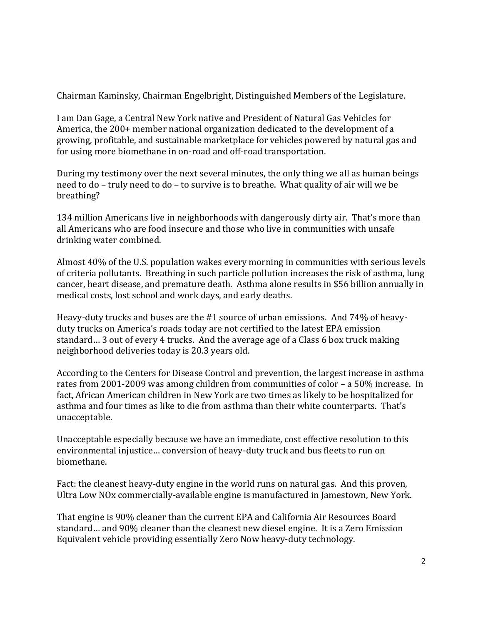Chairman Kaminsky, Chairman Engelbright, Distinguished Members of the Legislature.

I am Dan Gage, a Central New York native and President of Natural Gas Vehicles for America, the 200+ member national organization dedicated to the development of a growing, profitable, and sustainable marketplace for vehicles powered by natural gas and for using more biomethane in on-road and off-road transportation.

During my testimony over the next several minutes, the only thing we all as human beings need to do – truly need to do – to survive is to breathe. What quality of air will we be breathing?

134 million Americans live in neighborhoods with dangerously dirty air. That's more than all Americans who are food insecure and those who live in communities with unsafe drinking water combined.

Almost 40% of the U.S. population wakes every morning in communities with serious levels of criteria pollutants. Breathing in such particle pollution increases the risk of asthma, lung cancer, heart disease, and premature death. Asthma alone results in \$56 billion annually in medical costs, lost school and work days, and early deaths.

Heavy-duty trucks and buses are the #1 source of urban emissions. And 74% of heavyduty trucks on America's roads today are not certified to the latest EPA emission standard… 3 out of every 4 trucks. And the average age of a Class 6 box truck making neighborhood deliveries today is 20.3 years old.

According to the Centers for Disease Control and prevention, the largest increase in asthma rates from 2001-2009 was among children from communities of color – a 50% increase. In fact, African American children in New York are two times as likely to be hospitalized for asthma and four times as like to die from asthma than their white counterparts. That's unacceptable.

Unacceptable especially because we have an immediate, cost effective resolution to this environmental injustice… conversion of heavy-duty truck and bus fleets to run on biomethane.

Fact: the cleanest heavy-duty engine in the world runs on natural gas. And this proven, Ultra Low NOx commercially-available engine is manufactured in Jamestown, New York.

That engine is 90% cleaner than the current EPA and California Air Resources Board standard… and 90% cleaner than the cleanest new diesel engine. It is a Zero Emission Equivalent vehicle providing essentially Zero Now heavy-duty technology.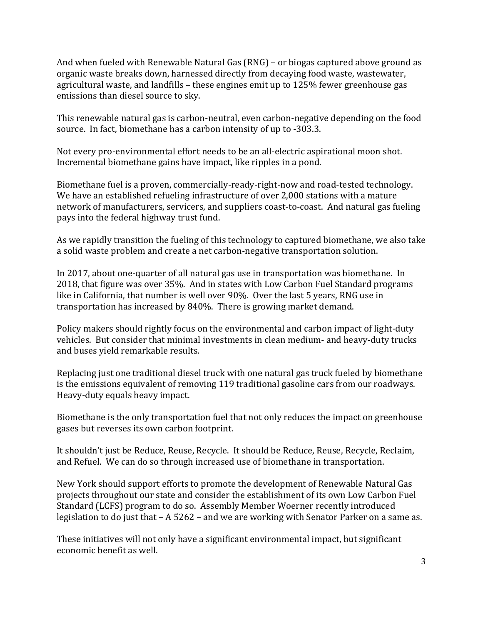And when fueled with Renewable Natural Gas (RNG) – or biogas captured above ground as organic waste breaks down, harnessed directly from decaying food waste, wastewater, agricultural waste, and landfills – these engines emit up to 125% fewer greenhouse gas emissions than diesel source to sky.

This renewable natural gas is carbon-neutral, even carbon-negative depending on the food source. In fact, biomethane has a carbon intensity of up to -303.3.

Not every pro-environmental effort needs to be an all-electric aspirational moon shot. Incremental biomethane gains have impact, like ripples in a pond.

Biomethane fuel is a proven, commercially-ready-right-now and road-tested technology. We have an established refueling infrastructure of over 2,000 stations with a mature network of manufacturers, servicers, and suppliers coast-to-coast. And natural gas fueling pays into the federal highway trust fund.

As we rapidly transition the fueling of this technology to captured biomethane, we also take a solid waste problem and create a net carbon-negative transportation solution.

In 2017, about one-quarter of all natural gas use in transportation was biomethane. In 2018, that figure was over 35%. And in states with Low Carbon Fuel Standard programs like in California, that number is well over 90%. Over the last 5 years, RNG use in transportation has increased by 840%. There is growing market demand.

Policy makers should rightly focus on the environmental and carbon impact of light-duty vehicles. But consider that minimal investments in clean medium- and heavy-duty trucks and buses yield remarkable results.

Replacing just one traditional diesel truck with one natural gas truck fueled by biomethane is the emissions equivalent of removing 119 traditional gasoline cars from our roadways. Heavy-duty equals heavy impact.

Biomethane is the only transportation fuel that not only reduces the impact on greenhouse gases but reverses its own carbon footprint.

It shouldn't just be Reduce, Reuse, Recycle. It should be Reduce, Reuse, Recycle, Reclaim, and Refuel. We can do so through increased use of biomethane in transportation.

New York should support efforts to promote the development of Renewable Natural Gas projects throughout our state and consider the establishment of its own Low Carbon Fuel Standard (LCFS) program to do so. Assembly Member Woerner recently introduced legislation to do just that – A 5262 – and we are working with Senator Parker on a same as.

These initiatives will not only have a significant environmental impact, but significant economic benefit as well.